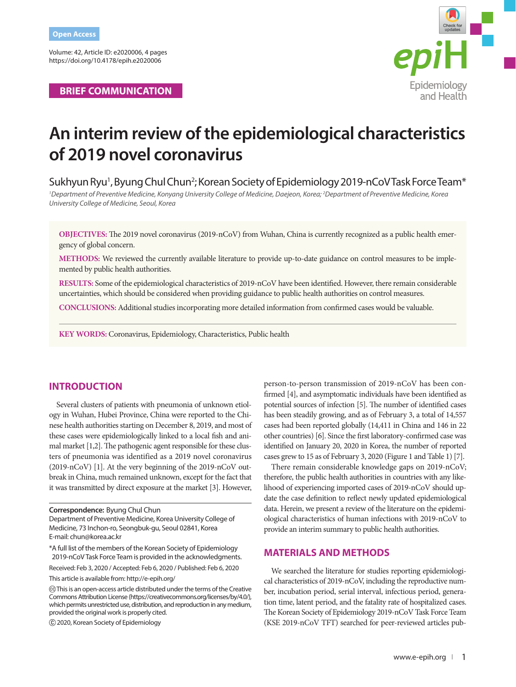Volume: 42, Article ID: e2020006, 4 pages https://doi.org/10.4178/epih.e2020006

**BRIEF COMMUNICATION**



# **An interim review of the epidemiological characteristics of 2019 novel coronavirus**

Sukhyun Ryu<sup>1</sup>, Byung Chul Chun<sup>2</sup>; Korean Society of Epidemiology 2019-nCoV Task Force Team\*

*1 Department of Preventive Medicine, Konyang University College of Medicine, Daejeon, Korea; 2 Department of Preventive Medicine, Korea University College of Medicine, Seoul, Korea*

**OBJECTIVES:** The 2019 novel coronavirus (2019-nCoV) from Wuhan, China is currently recognized as a public health emergency of global concern.

**METHODS:** We reviewed the currently available literature to provide up-to-date guidance on control measures to be implemented by public health authorities.

**RESULTS:** Some of the epidemiological characteristics of 2019-nCoV have been identified. However, there remain considerable uncertainties, which should be considered when providing guidance to public health authorities on control measures.

**CONCLUSIONS:** Additional studies incorporating more detailed information from confirmed cases would be valuable.

**KEY WORDS:** Coronavirus, Epidemiology, Characteristics, Public health

## **INTRODUCTION**

Several clusters of patients with pneumonia of unknown etiology in Wuhan, Hubei Province, China were reported to the Chinese health authorities starting on December 8, 2019, and most of these cases were epidemiologically linked to a local fish and animal market [1,2]. The pathogenic agent responsible for these clusters of pneumonia was identified as a 2019 novel coronavirus (2019-nCoV) [1]. At the very beginning of the 2019-nCoV outbreak in China, much remained unknown, except for the fact that it was transmitted by direct exposure at the market [3]. However,

Department of Preventive Medicine, Korea University College of Medicine, 73 Inchon-ro, Seongbuk-gu, Seoul 02841, Korea E-mail: chun@korea.ac.kr

\*A full list of the members of the Korean Society of Epidemiology 2019-nCoV Task Force Team is provided in the acknowledgments.

Received: Feb 3, 2020 / Accepted: Feb 6, 2020 / Published: Feb 6, 2020

This article is available from: http://e-epih.org/

2020, Korean Society of Epidemiology

person-to-person transmission of 2019-nCoV has been confirmed [4], and asymptomatic individuals have been identified as potential sources of infection [5]. The number of identified cases has been steadily growing, and as of February 3, a total of 14,557 cases had been reported globally (14,411 in China and 146 in 22 other countries) [6]. Since the first laboratory-confirmed case was identified on January 20, 2020 in Korea, the number of reported cases grew to 15 as of February 3, 2020 (Figure 1 and Table 1) [7].

There remain considerable knowledge gaps on 2019-nCoV; therefore, the public health authorities in countries with any likelihood of experiencing imported cases of 2019-nCoV should update the case definition to reflect newly updated epidemiological data. Herein, we present a review of the literature on the epidemiological characteristics of human infections with 2019-nCoV to provide an interim summary to public health authorities.

#### **MATERIALS AND METHODS**

We searched the literature for studies reporting epidemiological characteristics of 2019-nCoV, including the reproductive number, incubation period, serial interval, infectious period, generation time, latent period, and the fatality rate of hospitalized cases. The Korean Society of Epidemiology 2019-nCoV Task Force Team (KSE 2019-nCoV TFT) searched for peer-reviewed articles pub-

**Correspondence:** Byung Chul Chun

This is an open-access article distributed under the terms of the Creative Commons Attribution License (https://creativecommons.org/licenses/by/4.0/), which permits unrestricted use, distribution, and reproduction in any medium, provided the original work is properly cited.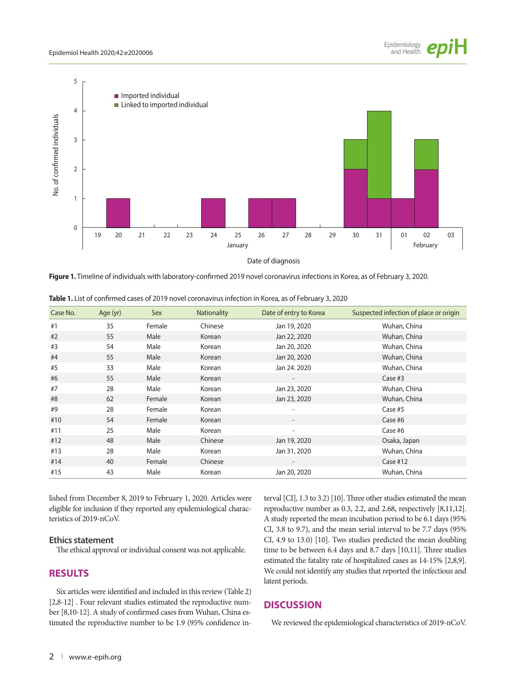

**Figure 1.** Timeline of individuals with laboratory-confirmed 2019 novel coronavirus infections in Korea, as of February 3, 2020.

| Case No. | Age (yr) | Sex    | <b>Nationality</b> | Date of entry to Korea | Suspected infection of place or origin |
|----------|----------|--------|--------------------|------------------------|----------------------------------------|
| #1       | 35       | Female | Chinese            | Jan 19, 2020           | Wuhan, China                           |
| #2       | 55       | Male   | Korean             | Jan 22, 2020           | Wuhan, China                           |
| #3       | 54       | Male   | Korean             | Jan 20, 2020           | Wuhan, China                           |
| #4       | 55       | Male   | Korean             | Jan 20, 2020           | Wuhan, China                           |
| #5       | 33       | Male   | Korean             | Jan 24, 2020           | Wuhan, China                           |
| #6       | 55       | Male   | Korean             |                        | Case $#3$                              |
| #7       | 28       | Male   | Korean             | Jan 23, 2020           | Wuhan, China                           |
| #8       | 62       | Female | Korean             | Jan 23, 2020           | Wuhan, China                           |
| #9       | 28       | Female | Korean             |                        | Case #5                                |
| #10      | 54       | Female | Korean             |                        | Case #6                                |
| #11      | 25       | Male   | Korean             | ٠                      | Case #6                                |
| #12      | 48       | Male   | Chinese            | Jan 19, 2020           | Osaka, Japan                           |
| #13      | 28       | Male   | Korean             | Jan 31, 2020           | Wuhan, China                           |
| #14      | 40       | Female | Chinese            |                        | Case $#12$                             |
| #15      | 43       | Male   | Korean             | Jan 20, 2020           | Wuhan, China                           |

**Table 1.** List of confirmed cases of 2019 novel coronavirus infection in Korea, as of February 3, 2020

lished from December 8, 2019 to February 1, 2020. Articles were eligible for inclusion if they reported any epidemiological characteristics of 2019-nCoV.

#### **Ethics statement**

The ethical approval or individual consent was not applicable.

## **RESULTS**

Six articles were identified and included in this review (Table 2) [2,8-12] . Four relevant studies estimated the reproductive number [8,10-12]. A study of confirmed cases from Wuhan, China estimated the reproductive number to be 1.9 (95% confidence in-

terval [CI], 1.3 to 3.2) [10]. Three other studies estimated the mean reproductive number as 0.3, 2.2, and 2.68, respectively [8,11,12]. A study reported the mean incubation period to be 6.1 days (95% CI, 3.8 to 9.7), and the mean serial interval to be 7.7 days (95% CI, 4.9 to 13.0) [10]. Two studies predicted the mean doubling time to be between 6.4 days and 8.7 days [10,11]. Three studies estimated the fatality rate of hospitalized cases as 14-15% [2,8,9]. We could not identify any studies that reported the infectious and latent periods.

## **DISCUSSION**

We reviewed the epidemiological characteristics of 2019-nCoV.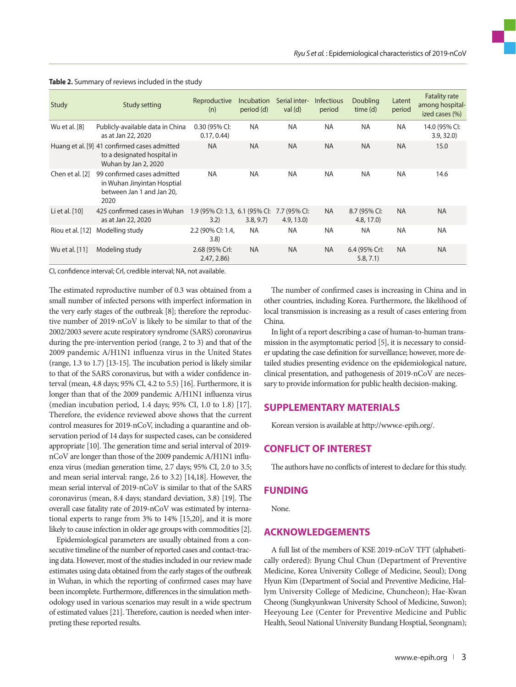| Study            | Study setting                                                                                       | Reproductive<br>(n)                    | Incubation<br>period (d) | Serial inter-<br>val $(d)$  | <b>Infectious</b><br>period | <b>Doubling</b><br>time (d) | Latent<br>period | <b>Fatality rate</b><br>among hospital-<br>ized cases (%) |
|------------------|-----------------------------------------------------------------------------------------------------|----------------------------------------|--------------------------|-----------------------------|-----------------------------|-----------------------------|------------------|-----------------------------------------------------------|
| Wu et al. [8]    | Publicly-available data in China<br>as at Jan 22, 2020                                              | 0.30 (95% CI:<br>0.17, 0.44            | <b>NA</b>                | <b>NA</b>                   | <b>NA</b>                   | <b>NA</b>                   | <b>NA</b>        | 14.0 (95% CI:<br>3.9, 32.0                                |
|                  | Huang et al. [9] 41 confirmed cases admitted<br>to a designated hospital in<br>Wuhan by Jan 2, 2020 | <b>NA</b>                              | <b>NA</b>                | <b>NA</b>                   | <b>NA</b>                   | <b>NA</b>                   | <b>NA</b>        | 15.0                                                      |
| Chen et al. [2]  | 99 confirmed cases admitted<br>in Wuhan Jinyintan Hosptial<br>between Jan 1 and Jan 20,<br>2020     | <b>NA</b>                              | <b>NA</b>                | <b>NA</b>                   | <b>NA</b>                   | <b>NA</b>                   | <b>NA</b>        | 14.6                                                      |
| Li et al. [10]   | 425 confirmed cases in Wuhan<br>as at Jan 22, 2020                                                  | 1.9 (95% CI: 1.3, 6.1 (95% CI:<br>3.2) | 3.8, 9.7                 | 7.7 (95% CI:<br>(4.9, 13.0) | <b>NA</b>                   | 8.7 (95% CI:<br>4.8, 17.0   | <b>NA</b>        | <b>NA</b>                                                 |
| Riou et al. [12] | Modelling study                                                                                     | 2.2 (90% CI: 1.4,<br>3.8)              | <b>NA</b>                | <b>NA</b>                   | <b>NA</b>                   | <b>NA</b>                   | <b>NA</b>        | <b>NA</b>                                                 |
| Wu et al. [11]   | Modeling study                                                                                      | 2.68 (95% Crl:<br>2.47, 2.86           | <b>NA</b>                | <b>NA</b>                   | <b>NA</b>                   | 6.4 (95% Crl:<br>5.8, 7.1)  | <b>NA</b>        | <b>NA</b>                                                 |

#### **Table 2.** Summary of reviews included in the study

CI, confidence interval; Crl, credible interval; NA, not available.

The estimated reproductive number of 0.3 was obtained from a small number of infected persons with imperfect information in the very early stages of the outbreak [8]; therefore the reproductive number of 2019-nCoV is likely to be similar to that of the 2002/2003 severe acute respiratory syndrome (SARS) coronavirus during the pre-intervention period (range, 2 to 3) and that of the 2009 pandemic A/H1N1 influenza virus in the United States (range, 1.3 to 1.7) [13-15]. The incubation period is likely similar to that of the SARS coronavirus, but with a wider confidence interval (mean, 4.8 days; 95% CI, 4.2 to 5.5) [16]. Furthermore, it is longer than that of the 2009 pandemic A/H1N1 influenza virus (median incubation period, 1.4 days; 95% CI, 1.0 to 1.8) [17]. Therefore, the evidence reviewed above shows that the current control measures for 2019-nCoV, including a quarantine and observation period of 14 days for suspected cases, can be considered appropriate [10]. The generation time and serial interval of 2019 nCoV are longer than those of the 2009 pandemic A/H1N1 influenza virus (median generation time, 2.7 days; 95% CI, 2.0 to 3.5; and mean serial interval: range, 2.6 to 3.2) [14,18]. However, the mean serial interval of 2019-nCoV is similar to that of the SARS coronavirus (mean, 8.4 days; standard deviation, 3.8) [19]. The overall case fatality rate of 2019-nCoV was estimated by international experts to range from 3% to 14% [15,20], and it is more likely to cause infection in older age groups with commodities [2].

Epidemiological parameters are usually obtained from a consecutive timeline of the number of reported cases and contact-tracing data. However, most of the studies included in our review made estimates using data obtained from the early stages of the outbreak in Wuhan, in which the reporting of confirmed cases may have been incomplete. Furthermore, differences in the simulation methodology used in various scenarios may result in a wide spectrum of estimated values [21]. Therefore, caution is needed when interpreting these reported results.

The number of confirmed cases is increasing in China and in other countries, including Korea. Furthermore, the likelihood of local transmission is increasing as a result of cases entering from China.

In light of a report describing a case of human-to-human transmission in the asymptomatic period [5], it is necessary to consider updating the case definition for surveillance; however, more detailed studies presenting evidence on the epidemiological nature, clinical presentation, and pathogenesis of 2019-nCoV are necessary to provide information for public health decision-making.

#### **SUPPLEMENTARY MATERIALS**

Korean version is available at http://www.e-epih.org/.

### **CONFLICT OF INTEREST**

The authors have no conflicts of interest to declare for this study.

#### **FUNDING**

None.

## **ACKNOWLEDGEMENTS**

A full list of the members of KSE 2019-nCoV TFT (alphabetically ordered): Byung Chul Chun (Department of Preventive Medicine, Korea University College of Medicine, Seoul); Dong Hyun Kim (Department of Social and Preventive Medicine, Hallym University College of Medicine, Chuncheon); Hae-Kwan Cheong (Sungkyunkwan University School of Medicine, Suwon); Heeyoung Lee (Center for Preventive Medicine and Public Health, Seoul National University Bundang Hosptial, Seongnam);